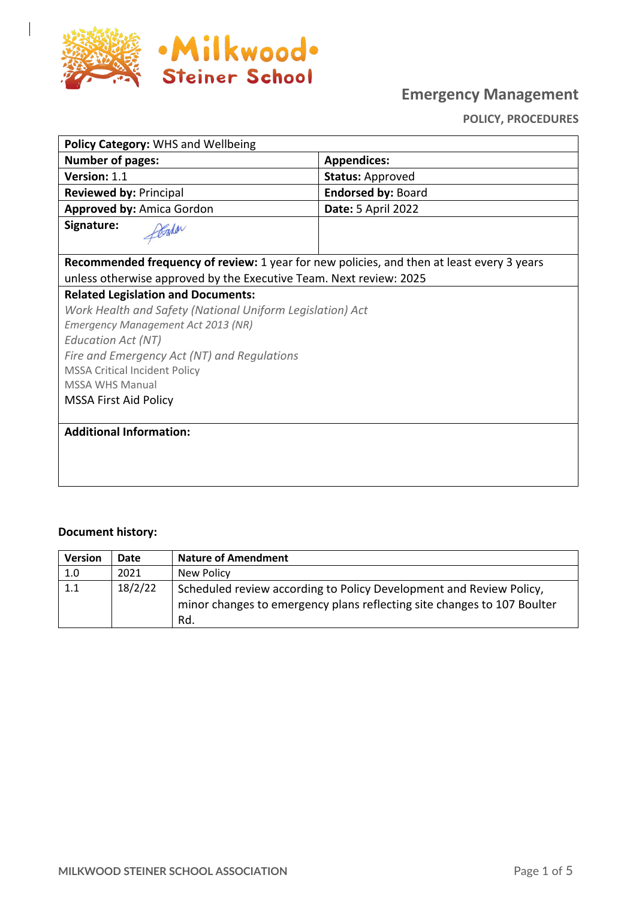

 $\overline{\phantom{a}}$ 

# **Emergency Management**

**POLICY, PROCEDURES**

| Policy Category: WHS and Wellbeing                                                        |                           |  |  |
|-------------------------------------------------------------------------------------------|---------------------------|--|--|
| <b>Number of pages:</b>                                                                   | <b>Appendices:</b>        |  |  |
| Version: 1.1                                                                              | <b>Status: Approved</b>   |  |  |
| <b>Reviewed by: Principal</b>                                                             | <b>Endorsed by: Board</b> |  |  |
| <b>Approved by: Amica Gordon</b>                                                          | <b>Date: 5 April 2022</b> |  |  |
| Signature:<br>Pada                                                                        |                           |  |  |
| Recommended frequency of review: 1 year for new policies, and then at least every 3 years |                           |  |  |
| unless otherwise approved by the Executive Team. Next review: 2025                        |                           |  |  |
| <b>Related Legislation and Documents:</b>                                                 |                           |  |  |
| Work Health and Safety (National Uniform Legislation) Act                                 |                           |  |  |
| <b>Emergency Management Act 2013 (NR)</b>                                                 |                           |  |  |
| <b>Education Act (NT)</b>                                                                 |                           |  |  |
| Fire and Emergency Act (NT) and Regulations                                               |                           |  |  |
| <b>MSSA Critical Incident Policy</b>                                                      |                           |  |  |
| <b>MSSA WHS Manual</b>                                                                    |                           |  |  |
| <b>MSSA First Aid Policy</b>                                                              |                           |  |  |
|                                                                                           |                           |  |  |
| <b>Additional Information:</b>                                                            |                           |  |  |
|                                                                                           |                           |  |  |
|                                                                                           |                           |  |  |
|                                                                                           |                           |  |  |

#### **Document history:**

| <b>Version</b> | Date    | <b>Nature of Amendment</b>                                                                                                                            |
|----------------|---------|-------------------------------------------------------------------------------------------------------------------------------------------------------|
| 1.0            | 2021    | New Policy                                                                                                                                            |
| 1.1            | 18/2/22 | Scheduled review according to Policy Development and Review Policy,<br>minor changes to emergency plans reflecting site changes to 107 Boulter<br>Rd. |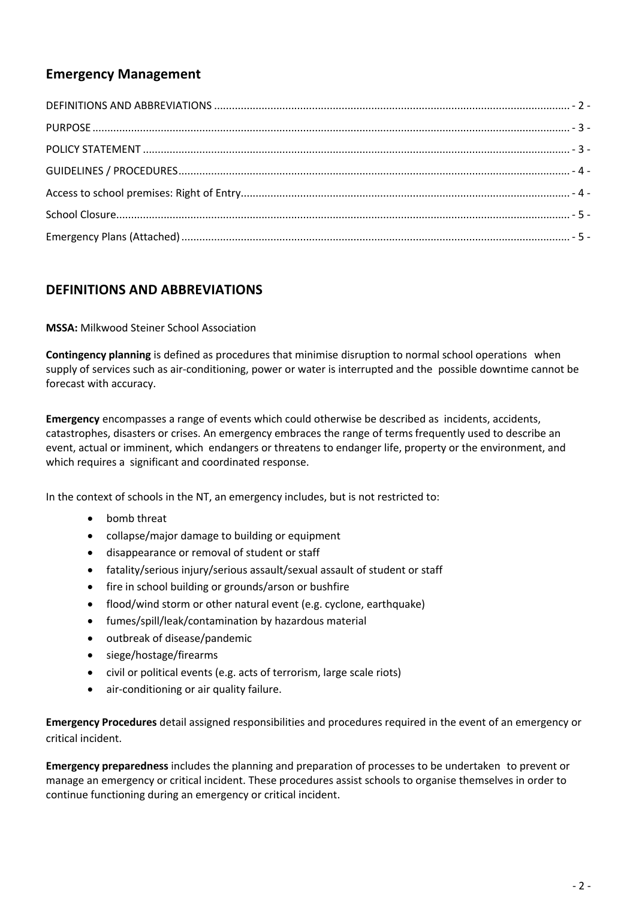### **Emergency Management**

### **DEFINITIONS AND ABBREVIATIONS**

#### **MSSA:** Milkwood Steiner School Association

**Contingency planning** is defined as procedures that minimise disruption to normal school operations when supply of services such as air-conditioning, power or water is interrupted and the possible downtime cannot be forecast with accuracy.

**Emergency** encompasses a range of events which could otherwise be described as incidents, accidents, catastrophes, disasters or crises. An emergency embraces the range of terms frequently used to describe an event, actual or imminent, which endangers or threatens to endanger life, property or the environment, and which requires a significant and coordinated response.

In the context of schools in the NT, an emergency includes, but is not restricted to:

- bomb threat
- collapse/major damage to building or equipment
- disappearance or removal of student or staff
- fatality/serious injury/serious assault/sexual assault of student or staff
- fire in school building or grounds/arson or bushfire
- flood/wind storm or other natural event (e.g. cyclone, earthquake)
- fumes/spill/leak/contamination by hazardous material
- outbreak of disease/pandemic
- siege/hostage/firearms
- civil or political events (e.g. acts of terrorism, large scale riots)
- air-conditioning or air quality failure.

**Emergency Procedures** detail assigned responsibilities and procedures required in the event of an emergency or critical incident.

**Emergency preparedness** includes the planning and preparation of processes to be undertaken to prevent or manage an emergency or critical incident. These procedures assist schools to organise themselves in order to continue functioning during an emergency or critical incident.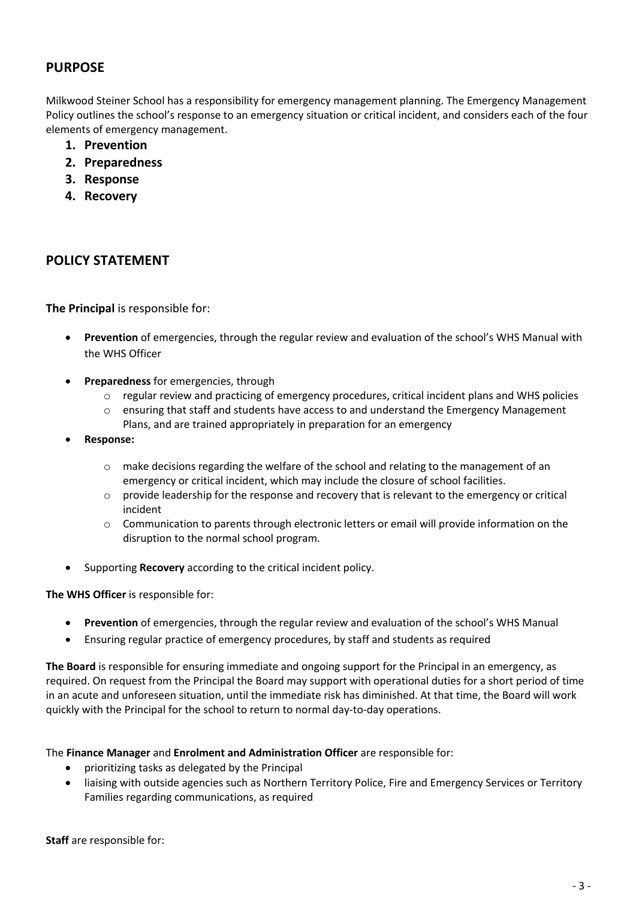### **PURPOSE**

Milkwood Steiner School has a responsibility for emergency management planning. The Emergency Management Policy outlines the school's response to an emergency situation or critical incident, and considers each of the four elements of emergency management.

- **1. Prevention**
- **2. Preparedness**
- **3. Response**
- **4. Recovery**

#### **POLICY STATEMENT**

**The Principal** is responsible for:

- **Prevention** of emergencies, through the regular review and evaluation of the school's WHS Manual with the WHS Officer
- **Preparedness** for emergencies, through
	- $\circ$  regular review and practicing of emergency procedures, critical incident plans and WHS policies
	- $\circ$  ensuring that staff and students have access to and understand the Emergency Management Plans, and are trained appropriately in preparation for an emergency
- **Response:** 
	- o make decisions regarding the welfare of the school and relating to the management of an emergency or critical incident, which may include the closure of school facilities.
	- o provide leadership for the response and recovery that is relevant to the emergency or critical incident
	- $\circ$  Communication to parents through electronic letters or email will provide information on the disruption to the normal school program.
- Supporting **Recovery** according to the critical incident policy.

#### **The WHS Officer** is responsible for:

- **Prevention** of emergencies, through the regular review and evaluation of the school's WHS Manual
- Ensuring regular practice of emergency procedures, by staff and students as required

**The Board** is responsible for ensuring immediate and ongoing support for the Principal in an emergency, as required. On request from the Principal the Board may support with operational duties for a short period of time in an acute and unforeseen situation, until the immediate risk has diminished. At that time, the Board will work quickly with the Principal for the school to return to normal day-to-day operations.

The **Finance Manager** and **Enrolment and Administration Officer** are responsible for:

- prioritizing tasks as delegated by the Principal
- liaising with outside agencies such as Northern Territory Police, Fire and Emergency Services or Territory Families regarding communications, as required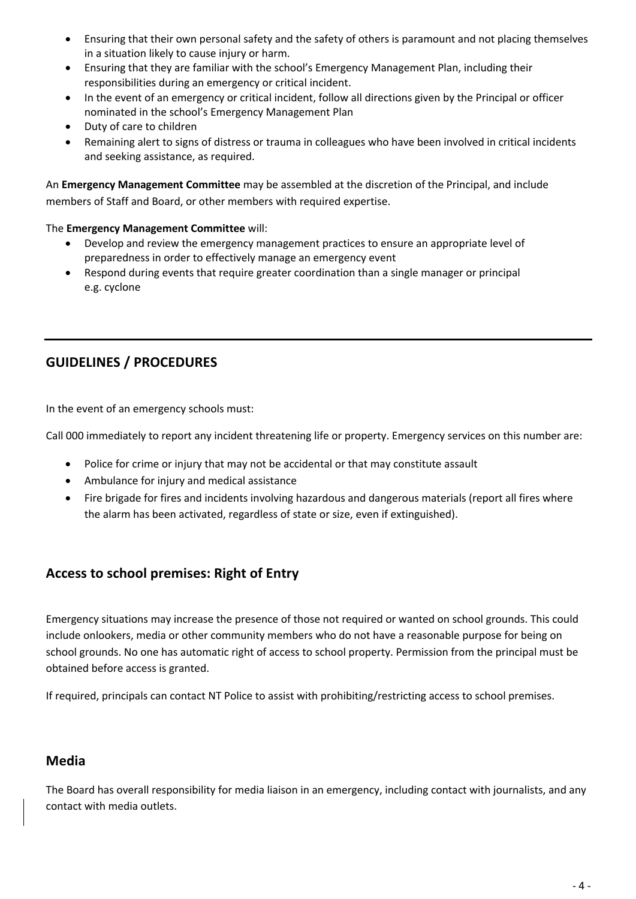- Ensuring that their own personal safety and the safety of others is paramount and not placing themselves in a situation likely to cause injury or harm.
- Ensuring that they are familiar with the school's Emergency Management Plan, including their responsibilities during an emergency or critical incident.
- In the event of an emergency or critical incident, follow all directions given by the Principal or officer nominated in the school's Emergency Management Plan
- Duty of care to children
- Remaining alert to signs of distress or trauma in colleagues who have been involved in critical incidents and seeking assistance, as required.

An **Emergency Management Committee** may be assembled at the discretion of the Principal, and include members of Staff and Board, or other members with required expertise.

The **Emergency Management Committee** will:

- Develop and review the emergency management practices to ensure an appropriate level of preparedness in order to effectively manage an emergency event
- Respond during events that require greater coordination than a single manager or principal e.g. cyclone

### **GUIDELINES / PROCEDURES**

In the event of an emergency schools must:

Call 000 immediately to report any incident threatening life or property. Emergency services on this number are:

- Police for crime or injury that may not be accidental or that may constitute assault
- Ambulance for injury and medical assistance
- Fire brigade for fires and incidents involving hazardous and dangerous materials (report all fires where the alarm has been activated, regardless of state or size, even if extinguished).

### **Access to school premises: Right of Entry**

Emergency situations may increase the presence of those not required or wanted on school grounds. This could include onlookers, media or other community members who do not have a reasonable purpose for being on school grounds. No one has automatic right of access to school property. Permission from the principal must be obtained before access is granted.

If required, principals can contact NT Police to assist with prohibiting/restricting access to school premises.

### **Media**

The Board has overall responsibility for media liaison in an emergency, including contact with journalists, and any contact with media outlets.